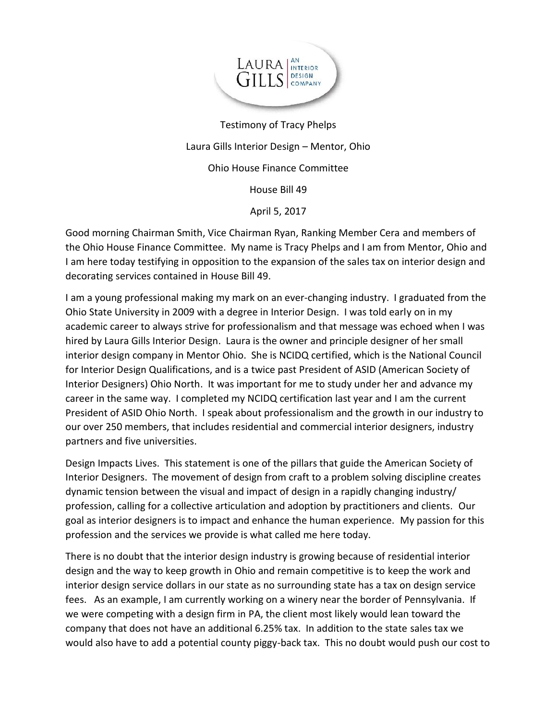

Testimony of Tracy Phelps Laura Gills Interior Design – Mentor, Ohio Ohio House Finance Committee House Bill 49 April 5, 2017

Good morning Chairman Smith, Vice Chairman Ryan, Ranking Member Cera and members of the Ohio House Finance Committee. My name is Tracy Phelps and I am from Mentor, Ohio and I am here today testifying in opposition to the expansion of the sales tax on interior design and decorating services contained in House Bill 49.

I am a young professional making my mark on an ever-changing industry. I graduated from the Ohio State University in 2009 with a degree in Interior Design. I was told early on in my academic career to always strive for professionalism and that message was echoed when I was hired by Laura Gills Interior Design. Laura is the owner and principle designer of her small interior design company in Mentor Ohio. She is NCIDQ certified, which is the National Council for Interior Design Qualifications, and is a twice past President of ASID (American Society of Interior Designers) Ohio North. It was important for me to study under her and advance my career in the same way. I completed my NCIDQ certification last year and I am the current President of ASID Ohio North. I speak about professionalism and the growth in our industry to our over 250 members, that includes residential and commercial interior designers, industry partners and five universities.

Design Impacts Lives. This statement is one of the pillars that guide the American Society of Interior Designers. The movement of design from craft to a problem solving discipline creates dynamic tension between the visual and impact of design in a rapidly changing industry/ profession, calling for a collective articulation and adoption by practitioners and clients. Our goal as interior designers is to impact and enhance the human experience. My passion for this profession and the services we provide is what called me here today.

There is no doubt that the interior design industry is growing because of residential interior design and the way to keep growth in Ohio and remain competitive is to keep the work and interior design service dollars in our state as no surrounding state has a tax on design service fees. As an example, I am currently working on a winery near the border of Pennsylvania. If we were competing with a design firm in PA, the client most likely would lean toward the company that does not have an additional 6.25% tax. In addition to the state sales tax we would also have to add a potential county piggy-back tax. This no doubt would push our cost to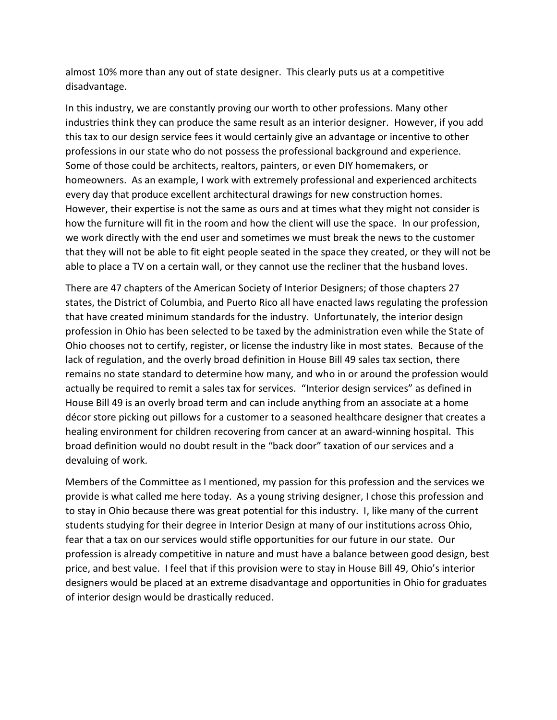almost 10% more than any out of state designer. This clearly puts us at a competitive disadvantage.

In this industry, we are constantly proving our worth to other professions. Many other industries think they can produce the same result as an interior designer. However, if you add this tax to our design service fees it would certainly give an advantage or incentive to other professions in our state who do not possess the professional background and experience. Some of those could be architects, realtors, painters, or even DIY homemakers, or homeowners. As an example, I work with extremely professional and experienced architects every day that produce excellent architectural drawings for new construction homes. However, their expertise is not the same as ours and at times what they might not consider is how the furniture will fit in the room and how the client will use the space. In our profession, we work directly with the end user and sometimes we must break the news to the customer that they will not be able to fit eight people seated in the space they created, or they will not be able to place a TV on a certain wall, or they cannot use the recliner that the husband loves.

There are 47 chapters of the American Society of Interior Designers; of those chapters 27 states, the District of Columbia, and Puerto Rico all have enacted laws regulating the profession that have created minimum standards for the industry. Unfortunately, the interior design profession in Ohio has been selected to be taxed by the administration even while the State of Ohio chooses not to certify, register, or license the industry like in most states. Because of the lack of regulation, and the overly broad definition in House Bill 49 sales tax section, there remains no state standard to determine how many, and who in or around the profession would actually be required to remit a sales tax for services. "Interior design services" as defined in House Bill 49 is an overly broad term and can include anything from an associate at a home décor store picking out pillows for a customer to a seasoned healthcare designer that creates a healing environment for children recovering from cancer at an award-winning hospital. This broad definition would no doubt result in the "back door" taxation of our services and a devaluing of work.

Members of the Committee as I mentioned, my passion for this profession and the services we provide is what called me here today. As a young striving designer, I chose this profession and to stay in Ohio because there was great potential for this industry. I, like many of the current students studying for their degree in Interior Design at many of our institutions across Ohio, fear that a tax on our services would stifle opportunities for our future in our state. Our profession is already competitive in nature and must have a balance between good design, best price, and best value. I feel that if this provision were to stay in House Bill 49, Ohio's interior designers would be placed at an extreme disadvantage and opportunities in Ohio for graduates of interior design would be drastically reduced.